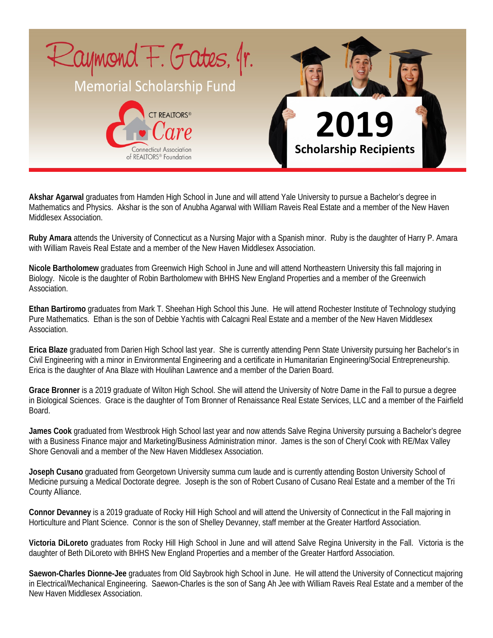

**Akshar Agarwal** graduates from Hamden High School in June and will attend Yale University to pursue a Bachelor's degree in Mathematics and Physics. Akshar is the son of Anubha Agarwal with William Raveis Real Estate and a member of the New Haven Middlesex Association.

**Ruby Amara** attends the University of Connecticut as a Nursing Major with a Spanish minor. Ruby is the daughter of Harry P. Amara with William Raveis Real Estate and a member of the New Haven Middlesex Association.

**Nicole Bartholomew** graduates from Greenwich High School in June and will attend Northeastern University this fall majoring in Biology. Nicole is the daughter of Robin Bartholomew with BHHS New England Properties and a member of the Greenwich Association.

**Ethan Bartiromo** graduates from Mark T. Sheehan High School this June. He will attend Rochester Institute of Technology studying Pure Mathematics. Ethan is the son of Debbie Yachtis with Calcagni Real Estate and a member of the New Haven Middlesex Association.

**Erica Blaze** graduated from Darien High School last year. She is currently attending Penn State University pursuing her Bachelor's in Civil Engineering with a minor in Environmental Engineering and a certificate in Humanitarian Engineering/Social Entrepreneurship. Erica is the daughter of Ana Blaze with Houlihan Lawrence and a member of the Darien Board.

**Grace Bronner** is a 2019 graduate of Wilton High School. She will attend the University of Notre Dame in the Fall to pursue a degree in Biological Sciences. Grace is the daughter of Tom Bronner of Renaissance Real Estate Services, LLC and a member of the Fairfield Board.

**James Cook** graduated from Westbrook High School last year and now attends Salve Regina University pursuing a Bachelor's degree with a Business Finance major and Marketing/Business Administration minor. James is the son of Cheryl Cook with RE/Max Valley Shore Genovali and a member of the New Haven Middlesex Association.

**Joseph Cusano** graduated from Georgetown University summa cum laude and is currently attending Boston University School of Medicine pursuing a Medical Doctorate degree. Joseph is the son of Robert Cusano of Cusano Real Estate and a member of the Tri County Alliance.

**Connor Devanney** is a 2019 graduate of Rocky Hill High School and will attend the University of Connecticut in the Fall majoring in Horticulture and Plant Science. Connor is the son of Shelley Devanney, staff member at the Greater Hartford Association.

**Victoria DiLoreto** graduates from Rocky Hill High School in June and will attend Salve Regina University in the Fall. Victoria is the daughter of Beth DiLoreto with BHHS New England Properties and a member of the Greater Hartford Association.

**Saewon-Charles Dionne-Jee** graduates from Old Saybrook high School in June. He will attend the University of Connecticut majoring in Electrical/Mechanical Engineering. Saewon-Charles is the son of Sang Ah Jee with William Raveis Real Estate and a member of the New Haven Middlesex Association.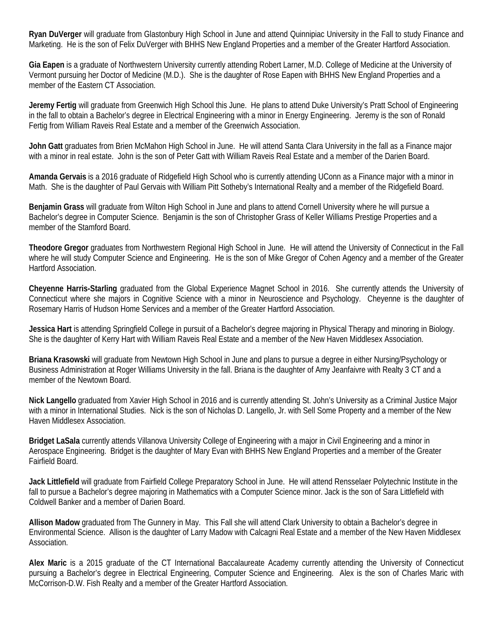**Ryan DuVerger** will graduate from Glastonbury High School in June and attend Quinnipiac University in the Fall to study Finance and Marketing. He is the son of Felix DuVerger with BHHS New England Properties and a member of the Greater Hartford Association.

**Gia Eapen** is a graduate of Northwestern University currently attending Robert Larner, M.D. College of Medicine at the University of Vermont pursuing her Doctor of Medicine (M.D.). She is the daughter of Rose Eapen with BHHS New England Properties and a member of the Eastern CT Association.

**Jeremy Fertig** will graduate from Greenwich High School this June. He plans to attend Duke University's Pratt School of Engineering in the fall to obtain a Bachelor's degree in Electrical Engineering with a minor in Energy Engineering. Jeremy is the son of Ronald Fertig from William Raveis Real Estate and a member of the Greenwich Association.

**John Gatt** graduates from Brien McMahon High School in June. He will attend Santa Clara University in the fall as a Finance major with a minor in real estate. John is the son of Peter Gatt with William Raveis Real Estate and a member of the Darien Board.

**Amanda Gervais** is a 2016 graduate of Ridgefield High School who is currently attending UConn as a Finance major with a minor in Math. She is the daughter of Paul Gervais with William Pitt Sotheby's International Realty and a member of the Ridgefield Board.

**Benjamin Grass** will graduate from Wilton High School in June and plans to attend Cornell University where he will pursue a Bachelor's degree in Computer Science. Benjamin is the son of Christopher Grass of Keller Williams Prestige Properties and a member of the Stamford Board.

**Theodore Gregor** graduates from Northwestern Regional High School in June. He will attend the University of Connecticut in the Fall where he will study Computer Science and Engineering. He is the son of Mike Gregor of Cohen Agency and a member of the Greater Hartford Association.

**Cheyenne Harris-Starling** graduated from the Global Experience Magnet School in 2016. She currently attends the University of Connecticut where she majors in Cognitive Science with a minor in Neuroscience and Psychology. Cheyenne is the daughter of Rosemary Harris of Hudson Home Services and a member of the Greater Hartford Association.

**Jessica Hart** is attending Springfield College in pursuit of a Bachelor's degree majoring in Physical Therapy and minoring in Biology. She is the daughter of Kerry Hart with William Raveis Real Estate and a member of the New Haven Middlesex Association.

**Briana Krasowski** will graduate from Newtown High School in June and plans to pursue a degree in either Nursing/Psychology or Business Administration at Roger Williams University in the fall. Briana is the daughter of Amy Jeanfaivre with Realty 3 CT and a member of the Newtown Board.

**Nick Langello** graduated from Xavier High School in 2016 and is currently attending St. John's University as a Criminal Justice Major with a minor in International Studies. Nick is the son of Nicholas D. Langello, Jr. with Sell Some Property and a member of the New Haven Middlesex Association.

**Bridget LaSala** currently attends Villanova University College of Engineering with a major in Civil Engineering and a minor in Aerospace Engineering. Bridget is the daughter of Mary Evan with BHHS New England Properties and a member of the Greater Fairfield Board.

**Jack Littlefield** will graduate from Fairfield College Preparatory School in June. He will attend Rensselaer Polytechnic Institute in the fall to pursue a Bachelor's degree majoring in Mathematics with a Computer Science minor. Jack is the son of Sara Littlefield with Coldwell Banker and a member of Darien Board.

**Allison Madow** graduated from The Gunnery in May. This Fall she will attend Clark University to obtain a Bachelor's degree in Environmental Science. Allison is the daughter of Larry Madow with Calcagni Real Estate and a member of the New Haven Middlesex Association.

**Alex Maric** is a 2015 graduate of the CT International Baccalaureate Academy currently attending the University of Connecticut pursuing a Bachelor's degree in Electrical Engineering, Computer Science and Engineering. Alex is the son of Charles Maric with McCorrison-D.W. Fish Realty and a member of the Greater Hartford Association.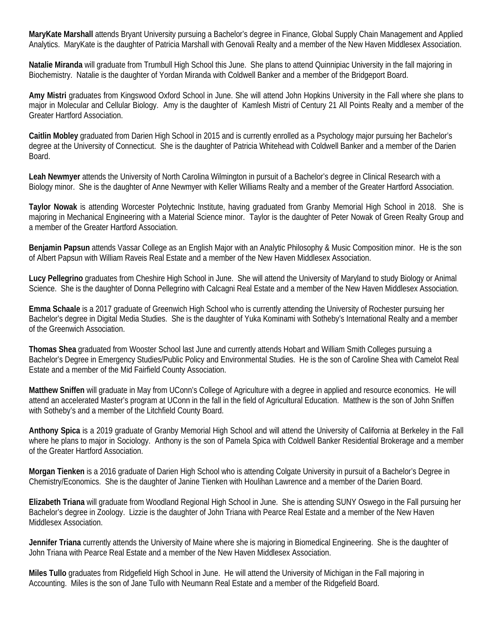**MaryKate Marshall** attends Bryant University pursuing a Bachelor's degree in Finance, Global Supply Chain Management and Applied Analytics. MaryKate is the daughter of Patricia Marshall with Genovali Realty and a member of the New Haven Middlesex Association.

**Natalie Miranda** will graduate from Trumbull High School this June. She plans to attend Quinnipiac University in the fall majoring in Biochemistry. Natalie is the daughter of Yordan Miranda with Coldwell Banker and a member of the Bridgeport Board.

**Amy Mistri** graduates from Kingswood Oxford School in June. She will attend John Hopkins University in the Fall where she plans to major in Molecular and Cellular Biology. Amy is the daughter of Kamlesh Mistri of Century 21 All Points Realty and a member of the Greater Hartford Association.

**Caitlin Mobley** graduated from Darien High School in 2015 and is currently enrolled as a Psychology major pursuing her Bachelor's degree at the University of Connecticut. She is the daughter of Patricia Whitehead with Coldwell Banker and a member of the Darien Board.

**Leah Newmyer** attends the University of North Carolina Wilmington in pursuit of a Bachelor's degree in Clinical Research with a Biology minor. She is the daughter of Anne Newmyer with Keller Williams Realty and a member of the Greater Hartford Association.

**Taylor Nowak** is attending Worcester Polytechnic Institute, having graduated from Granby Memorial High School in 2018. She is majoring in Mechanical Engineering with a Material Science minor. Taylor is the daughter of Peter Nowak of Green Realty Group and a member of the Greater Hartford Association.

**Benjamin Papsun** attends Vassar College as an English Major with an Analytic Philosophy & Music Composition minor. He is the son of Albert Papsun with William Raveis Real Estate and a member of the New Haven Middlesex Association.

**Lucy Pellegrino** graduates from Cheshire High School in June. She will attend the University of Maryland to study Biology or Animal Science. She is the daughter of Donna Pellegrino with Calcagni Real Estate and a member of the New Haven Middlesex Association.

**Emma Schaale** is a 2017 graduate of Greenwich High School who is currently attending the University of Rochester pursuing her Bachelor's degree in Digital Media Studies. She is the daughter of Yuka Kominami with Sotheby's International Realty and a member of the Greenwich Association.

**Thomas Shea** graduated from Wooster School last June and currently attends Hobart and William Smith Colleges pursuing a Bachelor's Degree in Emergency Studies/Public Policy and Environmental Studies. He is the son of Caroline Shea with Camelot Real Estate and a member of the Mid Fairfield County Association.

**Matthew Sniffen** will graduate in May from UConn's College of Agriculture with a degree in applied and resource economics. He will attend an accelerated Master's program at UConn in the fall in the field of Agricultural Education. Matthew is the son of John Sniffen with Sotheby's and a member of the Litchfield County Board.

**Anthony Spica** is a 2019 graduate of Granby Memorial High School and will attend the University of California at Berkeley in the Fall where he plans to major in Sociology. Anthony is the son of Pamela Spica with Coldwell Banker Residential Brokerage and a member of the Greater Hartford Association.

**Morgan Tienken** is a 2016 graduate of Darien High School who is attending Colgate University in pursuit of a Bachelor's Degree in Chemistry/Economics. She is the daughter of Janine Tienken with Houlihan Lawrence and a member of the Darien Board.

**Elizabeth Triana** will graduate from Woodland Regional High School in June. She is attending SUNY Oswego in the Fall pursuing her Bachelor's degree in Zoology. Lizzie is the daughter of John Triana with Pearce Real Estate and a member of the New Haven Middlesex Association.

**Jennifer Triana** currently attends the University of Maine where she is majoring in Biomedical Engineering. She is the daughter of John Triana with Pearce Real Estate and a member of the New Haven Middlesex Association.

**Miles Tullo** graduates from Ridgefield High School in June. He will attend the University of Michigan in the Fall majoring in Accounting. Miles is the son of Jane Tullo with Neumann Real Estate and a member of the Ridgefield Board.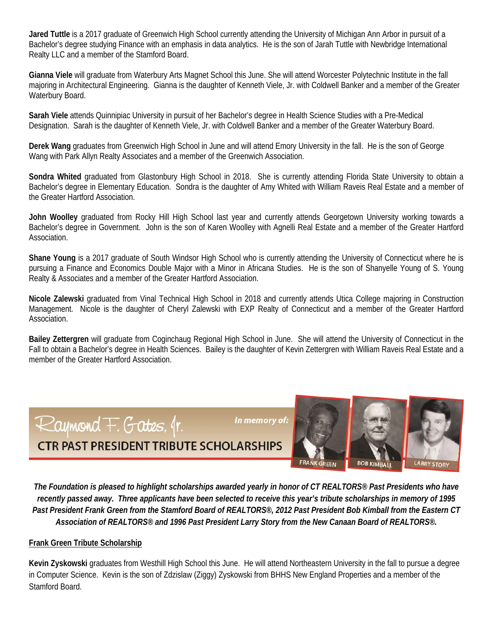**Jared Tuttle** is a 2017 graduate of Greenwich High School currently attending the University of Michigan Ann Arbor in pursuit of a Bachelor's degree studying Finance with an emphasis in data analytics. He is the son of Jarah Tuttle with Newbridge International Realty LLC and a member of the Stamford Board.

**Gianna Viele** will graduate from Waterbury Arts Magnet School this June. She will attend Worcester Polytechnic Institute in the fall majoring in Architectural Engineering. Gianna is the daughter of Kenneth Viele, Jr. with Coldwell Banker and a member of the Greater Waterbury Board.

**Sarah Viele** attends Quinnipiac University in pursuit of her Bachelor's degree in Health Science Studies with a Pre-Medical Designation. Sarah is the daughter of Kenneth Viele, Jr. with Coldwell Banker and a member of the Greater Waterbury Board.

**Derek Wang** graduates from Greenwich High School in June and will attend Emory University in the fall. He is the son of George Wang with Park Allyn Realty Associates and a member of the Greenwich Association.

**Sondra Whited** graduated from Glastonbury High School in 2018. She is currently attending Florida State University to obtain a Bachelor's degree in Elementary Education. Sondra is the daughter of Amy Whited with William Raveis Real Estate and a member of the Greater Hartford Association.

**John Woolley** graduated from Rocky Hill High School last year and currently attends Georgetown University working towards a Bachelor's degree in Government. John is the son of Karen Woolley with Agnelli Real Estate and a member of the Greater Hartford Association.

**Shane Young** is a 2017 graduate of South Windsor High School who is currently attending the University of Connecticut where he is pursuing a Finance and Economics Double Major with a Minor in Africana Studies. He is the son of Shanyelle Young of S. Young Realty & Associates and a member of the Greater Hartford Association.

**Nicole Zalewski** graduated from Vinal Technical High School in 2018 and currently attends Utica College majoring in Construction Management. Nicole is the daughter of Cheryl Zalewski with EXP Realty of Connecticut and a member of the Greater Hartford Association.

**Bailey Zettergren** will graduate from Coginchaug Regional High School in June. She will attend the University of Connecticut in the Fall to obtain a Bachelor's degree in Health Sciences. Bailey is the daughter of Kevin Zettergren with William Raveis Real Estate and a member of the Greater Hartford Association.



**FRANK GREEN BOB KIMBALL LARRY STORY** 

*The Foundation is pleased to highlight scholarships awarded yearly in honor of CT REALTORS® Past Presidents who have recently passed away. Three applicants have been selected to receive this year's tribute scholarships in memory of 1995 Past President Frank Green from the Stamford Board of REALTORS®, 2012 Past President Bob Kimball from the Eastern CT Association of REALTORS® and 1996 Past President Larry Story from the New Canaan Board of REALTORS®.* 

## **Frank Green Tribute Scholarship**

**Kevin Zyskowski** graduates from Westhill High School this June. He will attend Northeastern University in the fall to pursue a degree in Computer Science. Kevin is the son of Zdzislaw (Ziggy) Zyskowski from BHHS New England Properties and a member of the Stamford Board.